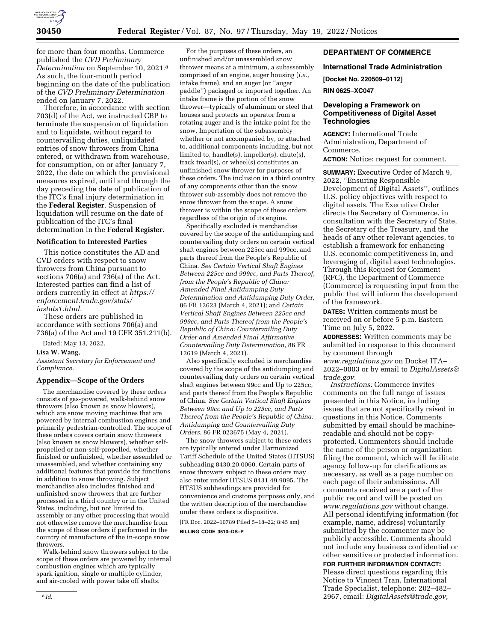

for more than four months. Commerce published the *CVD Preliminary Determination* on September 10, 2021.8 As such, the four-month period beginning on the date of the publication of the *CVD Preliminary Determination*  ended on January 7, 2022.

Therefore, in accordance with section 703(d) of the Act, we instructed CBP to terminate the suspension of liquidation and to liquidate, without regard to countervailing duties, unliquidated entries of snow throwers from China entered, or withdrawn from warehouse, for consumption, on or after January 7, 2022, the date on which the provisional measures expired, until and through the day preceding the date of publication of the ITC's final injury determination in the **Federal Register**. Suspension of liquidation will resume on the date of publication of the ITC's final determination in the **Federal Register**.

### **Notification to Interested Parties**

This notice constitutes the AD and CVD orders with respect to snow throwers from China pursuant to sections 706(a) and 736(a) of the Act. Interested parties can find a list of orders currently in effect at *[https://](https://enforcement.trade.gov/stats/iastats1.html) [enforcement.trade.gov/stats/](https://enforcement.trade.gov/stats/iastats1.html) [iastats1.html.](https://enforcement.trade.gov/stats/iastats1.html)* 

These orders are published in accordance with sections 706(a) and 736(a) of the Act and 19 CFR 351.211(b).

Dated: May 13, 2022.

### **Lisa W. Wang,**

*Assistant Secretary for Enforcement and Compliance.* 

### **Appendix—Scope of the Orders**

The merchandise covered by these orders consists of gas-powered, walk-behind snow throwers (also known as snow blowers), which are snow moving machines that are powered by internal combustion engines and primarily pedestrian-controlled. The scope of these orders covers certain snow throwers (also known as snow blowers), whether selfpropelled or non-self-propelled, whether finished or unfinished, whether assembled or unassembled, and whether containing any additional features that provide for functions in addition to snow throwing. Subject merchandise also includes finished and unfinished snow throwers that are further processed in a third country or in the United States, including, but not limited to, assembly or any other processing that would not otherwise remove the merchandise from the scope of these orders if performed in the country of manufacture of the in-scope snow throwers.

Walk-behind snow throwers subject to the scope of these orders are powered by internal combustion engines which are typically spark ignition, single or multiple cylinder, and air-cooled with power take off shafts.

For the purposes of these orders, an unfinished and/or unassembled snow thrower means at a minimum, a subassembly comprised of an engine, auger housing (*i.e.,*  intake frame), and an auger (or ''auger paddle'') packaged or imported together. An intake frame is the portion of the snow thrower—typically of aluminum or steel that houses and protects an operator from a rotating auger and is the intake point for the snow. Importation of the subassembly whether or not accompanied by, or attached to, additional components including, but not limited to, handle(s), impeller(s), chute(s), track tread(s), or wheel(s) constitutes an unfinished snow thrower for purposes of these orders. The inclusion in a third country of any components other than the snow thrower sub-assembly does not remove the snow thrower from the scope. A snow thrower is within the scope of these orders regardless of the origin of its engine.

Specifically excluded is merchandise covered by the scope of the antidumping and countervailing duty orders on certain vertical shaft engines between 225cc and 999cc, and parts thereof from the People's Republic of China. *See Certain Vertical Shaft Engines Between 225cc and 999cc, and Parts Thereof, from the People's Republic of China: Amended Final Antidumping Duty Determination and Antidumping Duty Order,*  86 FR 12623 (March 4, 2021); and *Certain Vertical Shaft Engines Between 225cc and 999cc, and Parts Thereof from the People's Republic of China: Countervailing Duty Order and Amended Final Affirmative Countervailing Duty Determination,* 86 FR 12619 (March 4, 2021).

Also specifically excluded is merchandise covered by the scope of the antidumping and countervailing duty orders on certain vertical shaft engines between 99cc and Up to 225cc, and parts thereof from the People's Republic of China. *See Certain Vertical Shaft Engines Between 99cc and Up to 225cc, and Parts Thereof from the People's Republic of China: Antidumping and Countervailing Duty Orders,* 86 FR 023675 (May 4, 2021).

The snow throwers subject to these orders are typically entered under Harmonized Tariff Schedule of the United States (HTSUS) subheading 8430.20.0060. Certain parts of snow throwers subject to these orders may also enter under HTSUS 8431.49.9095. The HTSUS subheadings are provided for convenience and customs purposes only, and the written description of the merchandise under these orders is dispositive.

[FR Doc. 2022–10789 Filed 5–18–22; 8:45 am] **BILLING CODE 3510–DS–P** 

## **DEPARTMENT OF COMMERCE**

**International Trade Administration** 

**[Docket No. 220509–0112]** 

#### **RIN 0625–XC047**

## **Developing a Framework on Competitiveness of Digital Asset Technologies**

**AGENCY:** International Trade Administration, Department of Commerce.

**ACTION:** Notice; request for comment.

**SUMMARY:** Executive Order of March 9, 2022, ''Ensuring Responsible Development of Digital Assets'', outlines U.S. policy objectives with respect to digital assets. The Executive Order directs the Secretary of Commerce, in consultation with the Secretary of State, the Secretary of the Treasury, and the heads of any other relevant agencies, to establish a framework for enhancing U.S. economic competitiveness in, and leveraging of, digital asset technologies. Through this Request for Comment (RFC), the Department of Commerce (Commerce) is requesting input from the public that will inform the development of the framework.

**DATES:** Written comments must be received on or before 5 p.m. Eastern Time on July 5, 2022.

**ADDRESSES:** Written comments may be submitted in response to this document by comment through

*[www.regulations.gov](http://www.regulations.gov)* on Docket ITA– 2022–0003 or by email to *[DigitalAssets@](mailto:DigitalAssets@trade.gov) [trade.gov.](mailto:DigitalAssets@trade.gov)* 

*Instructions:* Commerce invites comments on the full range of issues presented in this Notice, including issues that are not specifically raised in questions in this Notice. Comments submitted by email should be machinereadable and should not be copyprotected. Commenters should include the name of the person or organization filing the comment, which will facilitate agency follow-up for clarifications as necessary, as well as a page number on each page of their submissions. All comments received are a part of the public record and will be posted on *[www.regulations.gov](http://www.regulations.gov)* without change. All personal identifying information (for example, name, address) voluntarily submitted by the commenter may be publicly accessible. Comments should not include any business confidential or other sensitive or protected information.

**FOR FURTHER INFORMATION CONTACT:**  Please direct questions regarding this Notice to Vincent Tran, International Trade Specialist, telephone: 202–482– 2967, email: *[DigitalAssets@trade.gov,](mailto:DigitalAssets@trade.gov)*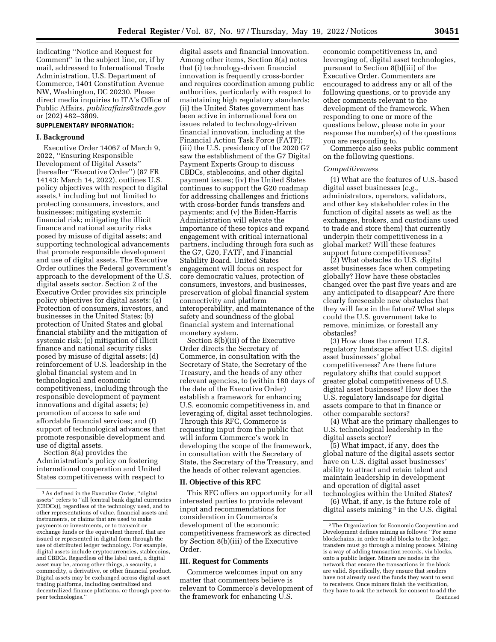indicating ''Notice and Request for Comment'' in the subject line, or, if by mail, addressed to International Trade Administration, U.S. Department of Commerce, 1401 Constitution Avenue NW, Washington, DC 20230. Please direct media inquiries to ITA's Office of Public Affairs, *[publicaffairs@trade.gov](mailto:publicaffairs@trade.gov)*  or (202) 482–3809.

## **SUPPLEMENTARY INFORMATION:**

#### **I. Background**

Executive Order 14067 of March 9, 2022, ''Ensuring Responsible Development of Digital Assets'' (hereafter ''Executive Order'') (87 FR 14143; March 14, 2022), outlines U.S. policy objectives with respect to digital assets,<sup>1</sup> including but not limited to protecting consumers, investors, and businesses; mitigating systemic financial risk; mitigating the illicit finance and national security risks posed by misuse of digital assets; and supporting technological advancements that promote responsible development and use of digital assets. The Executive Order outlines the Federal government's approach to the development of the U.S. digital assets sector. Section 2 of the Executive Order provides six principle policy objectives for digital assets: (a) Protection of consumers, investors, and businesses in the United States; (b) protection of United States and global financial stability and the mitigation of systemic risk; (c) mitigation of illicit finance and national security risks posed by misuse of digital assets; (d) reinforcement of U.S. leadership in the global financial system and in technological and economic competitiveness, including through the responsible development of payment innovations and digital assets; (e) promotion of access to safe and affordable financial services; and (f) support of technological advances that promote responsible development and use of digital assets.

Section 8(a) provides the Administration's policy on fostering international cooperation and United States competitiveness with respect to

digital assets and financial innovation. Among other items, Section 8(a) notes that (i) technology-driven financial innovation is frequently cross-border and requires coordination among public authorities, particularly with respect to maintaining high regulatory standards; (ii) the United States government has been active in international fora on issues related to technology-driven financial innovation, including at the Financial Action Task Force (FATF); (iii) the U.S. presidency of the 2020 G7 saw the establishment of the G7 Digital Payment Experts Group to discuss CBDCs, stablecoins, and other digital payment issues; (iv) the United States continues to support the G20 roadmap for addressing challenges and frictions with cross-border funds transfers and payments; and (v) the Biden-Harris Administration will elevate the importance of these topics and expand engagement with critical international partners, including through fora such as the G7, G20, FATF, and Financial Stability Board. United States engagement will focus on respect for core democratic values, protection of consumers, investors, and businesses, preservation of global financial system connectivity and platform interoperability, and maintenance of the safety and soundness of the global financial system and international monetary system.

Section 8(b)(iii) of the Executive Order directs the Secretary of Commerce, in consultation with the Secretary of State, the Secretary of the Treasury, and the heads of any other relevant agencies, to (within 180 days of the date of the Executive Order) establish a framework for enhancing U.S. economic competitiveness in, and leveraging of, digital asset technologies. Through this RFC, Commerce is requesting input from the public that will inform Commerce's work in developing the scope of the framework, in consultation with the Secretary of State, the Secretary of the Treasury, and the heads of other relevant agencies.

#### **II. Objective of this RFC**

This RFC offers an opportunity for all interested parties to provide relevant input and recommendations for consideration in Commerce's development of the economic competitiveness framework as directed by Section 8(b)(iii) of the Executive Order.

#### **III. Request for Comments**

Commerce welcomes input on any matter that commenters believe is relevant to Commerce's development of the framework for enhancing U.S.

economic competitiveness in, and leveraging of, digital asset technologies, pursuant to Section 8(b)(iii) of the Executive Order. Commenters are encouraged to address any or all of the following questions, or to provide any other comments relevant to the development of the framework. When responding to one or more of the questions below, please note in your response the number(s) of the questions you are responding to.

Commerce also seeks public comment on the following questions.

### *Competitiveness*

(1) What are the features of U.S.-based digital asset businesses (*e.g.,*  administrators, operators, validators, and other key stakeholder roles in the function of digital assets as well as the exchanges, brokers, and custodians used to trade and store them) that currently underpin their competitiveness in a global market? Will these features support future competitiveness?

(2) What obstacles do U.S. digital asset businesses face when competing globally? How have these obstacles changed over the past five years and are any anticipated to disappear? Are there clearly foreseeable new obstacles that they will face in the future? What steps could the U.S. government take to remove, minimize, or forestall any obstacles?

(3) How does the current U.S. regulatory landscape affect U.S. digital asset businesses' global competitiveness? Are there future regulatory shifts that could support greater global competitiveness of U.S. digital asset businesses? How does the U.S. regulatory landscape for digital assets compare to that in finance or other comparable sectors?

(4) What are the primary challenges to U.S. technological leadership in the digital assets sector?

(5) What impact, if any, does the global nature of the digital assets sector have on U.S. digital asset businesses' ability to attract and retain talent and maintain leadership in development and operation of digital asset technologies within the United States?

(6) What, if any, is the future role of digital assets mining 2 in the U.S. digital

<sup>1</sup>As defined in the Executive Order, ''digital assets'' refers to ''all [central bank digital currencies (CBDCs)], regardless of the technology used, and to other representations of value, financial assets and instruments, or claims that are used to make payments or investments, or to transmit or exchange funds or the equivalent thereof, that are issued or represented in digital form through the use of distributed ledger technology. For example, digital assets include cryptocurrencies, stablecoins, and CBDCs. Regardless of the label used, a digital asset may be, among other things, a security, a commodity, a derivative, or other financial product. Digital assets may be exchanged across digital asset trading platforms, including centralized and decentralized finance platforms, or through peer-topeer technologies.''

 $\sqrt[2]{2}$  The Organization for Economic Cooperation and Development defines mining as follows: ''For some blockchains, in order to add blocks to the ledger, transfers must go through a mining process. Mining is a way of adding transaction records, via blocks, onto a public ledger. Miners are nodes in the network that ensure the transactions in the block are valid. Specifically, they ensure that senders have not already used the funds they want to send to receivers. Once miners finish the verification, they have to ask the network for consent to add the Continued